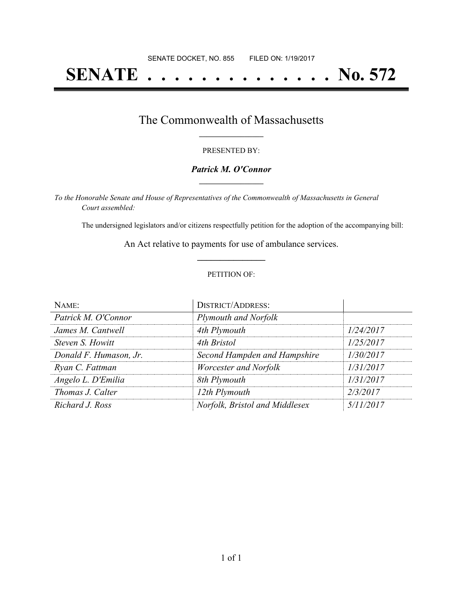# **SENATE . . . . . . . . . . . . . . No. 572**

### The Commonwealth of Massachusetts **\_\_\_\_\_\_\_\_\_\_\_\_\_\_\_\_\_**

#### PRESENTED BY:

#### *Patrick M. O'Connor* **\_\_\_\_\_\_\_\_\_\_\_\_\_\_\_\_\_**

*To the Honorable Senate and House of Representatives of the Commonwealth of Massachusetts in General Court assembled:*

The undersigned legislators and/or citizens respectfully petition for the adoption of the accompanying bill:

An Act relative to payments for use of ambulance services. **\_\_\_\_\_\_\_\_\_\_\_\_\_\_\_**

#### PETITION OF:

| NAME:                  | <b>DISTRICT/ADDRESS:</b>       |           |
|------------------------|--------------------------------|-----------|
| Patrick M. O'Connor    | Plymouth and Norfolk           |           |
| James M. Cantwell      | 4th Plymouth                   | 1/24/2017 |
| Steven S. Howitt       | 4th Bristol                    | 1/25/2017 |
| Donald F. Humason, Jr. | Second Hampden and Hampshire   | 1/30/2017 |
| Ryan C. Fattman        | Worcester and Norfolk          | 1/31/2017 |
| Angelo L. D'Emilia     | 8th Plymouth                   | 1/31/2017 |
| Thomas J. Calter       | 12th Plymouth                  | 2/3/2017  |
| Richard J. Ross        | Norfolk, Bristol and Middlesex | 5/11/2017 |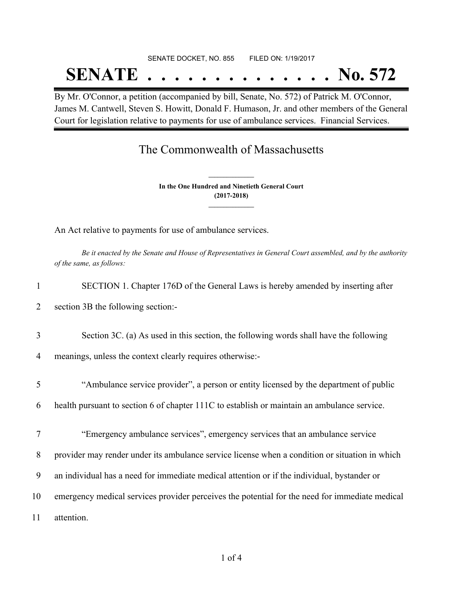# SENATE DOCKET, NO. 855 FILED ON: 1/19/2017 **SENATE . . . . . . . . . . . . . . No. 572**

By Mr. O'Connor, a petition (accompanied by bill, Senate, No. 572) of Patrick M. O'Connor, James M. Cantwell, Steven S. Howitt, Donald F. Humason, Jr. and other members of the General Court for legislation relative to payments for use of ambulance services. Financial Services.

## The Commonwealth of Massachusetts

**In the One Hundred and Ninetieth General Court (2017-2018) \_\_\_\_\_\_\_\_\_\_\_\_\_\_\_**

**\_\_\_\_\_\_\_\_\_\_\_\_\_\_\_**

An Act relative to payments for use of ambulance services.

Be it enacted by the Senate and House of Representatives in General Court assembled, and by the authority *of the same, as follows:*

| SECTION 1. Chapter 176D of the General Laws is hereby amended by inserting after               |
|------------------------------------------------------------------------------------------------|
| section 3B the following section:-                                                             |
| Section 3C. (a) As used in this section, the following words shall have the following          |
| meanings, unless the context clearly requires otherwise:-                                      |
| "Ambulance service provider", a person or entity licensed by the department of public          |
| health pursuant to section 6 of chapter 111C to establish or maintain an ambulance service.    |
| "Emergency ambulance services", emergency services that an ambulance service                   |
| provider may render under its ambulance service license when a condition or situation in which |
| an individual has a need for immediate medical attention or if the individual, bystander or    |
| emergency medical services provider perceives the potential for the need for immediate medical |
| attention.                                                                                     |
|                                                                                                |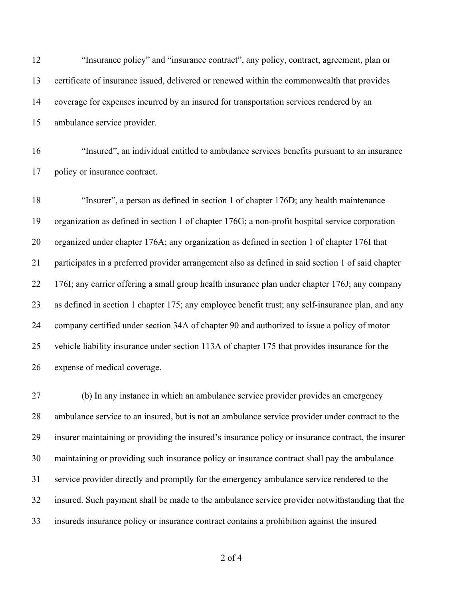"Insurance policy" and "insurance contract", any policy, contract, agreement, plan or certificate of insurance issued, delivered or renewed within the commonwealth that provides coverage for expenses incurred by an insured for transportation services rendered by an ambulance service provider.

 "Insured", an individual entitled to ambulance services benefits pursuant to an insurance policy or insurance contract.

 "Insurer", a person as defined in section 1 of chapter 176D; any health maintenance organization as defined in section 1 of chapter 176G; a non-profit hospital service corporation organized under chapter 176A; any organization as defined in section 1 of chapter 176I that participates in a preferred provider arrangement also as defined in said section 1 of said chapter 176I; any carrier offering a small group health insurance plan under chapter 176J; any company as defined in section 1 chapter 175; any employee benefit trust; any self-insurance plan, and any company certified under section 34A of chapter 90 and authorized to issue a policy of motor vehicle liability insurance under section 113A of chapter 175 that provides insurance for the expense of medical coverage.

 (b) In any instance in which an ambulance service provider provides an emergency ambulance service to an insured, but is not an ambulance service provider under contract to the insurer maintaining or providing the insured's insurance policy or insurance contract, the insurer maintaining or providing such insurance policy or insurance contract shall pay the ambulance service provider directly and promptly for the emergency ambulance service rendered to the insured. Such payment shall be made to the ambulance service provider notwithstanding that the insureds insurance policy or insurance contract contains a prohibition against the insured

of 4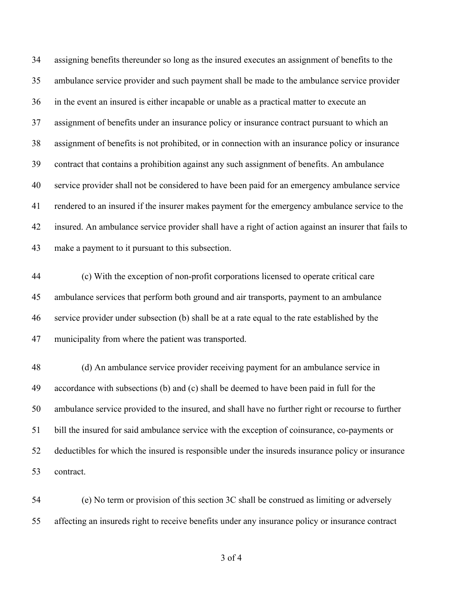assigning benefits thereunder so long as the insured executes an assignment of benefits to the ambulance service provider and such payment shall be made to the ambulance service provider in the event an insured is either incapable or unable as a practical matter to execute an assignment of benefits under an insurance policy or insurance contract pursuant to which an assignment of benefits is not prohibited, or in connection with an insurance policy or insurance contract that contains a prohibition against any such assignment of benefits. An ambulance service provider shall not be considered to have been paid for an emergency ambulance service rendered to an insured if the insurer makes payment for the emergency ambulance service to the insured. An ambulance service provider shall have a right of action against an insurer that fails to make a payment to it pursuant to this subsection.

 (c) With the exception of non-profit corporations licensed to operate critical care ambulance services that perform both ground and air transports, payment to an ambulance service provider under subsection (b) shall be at a rate equal to the rate established by the municipality from where the patient was transported.

 (d) An ambulance service provider receiving payment for an ambulance service in accordance with subsections (b) and (c) shall be deemed to have been paid in full for the ambulance service provided to the insured, and shall have no further right or recourse to further bill the insured for said ambulance service with the exception of coinsurance, co-payments or deductibles for which the insured is responsible under the insureds insurance policy or insurance contract.

 (e) No term or provision of this section 3C shall be construed as limiting or adversely affecting an insureds right to receive benefits under any insurance policy or insurance contract

of 4